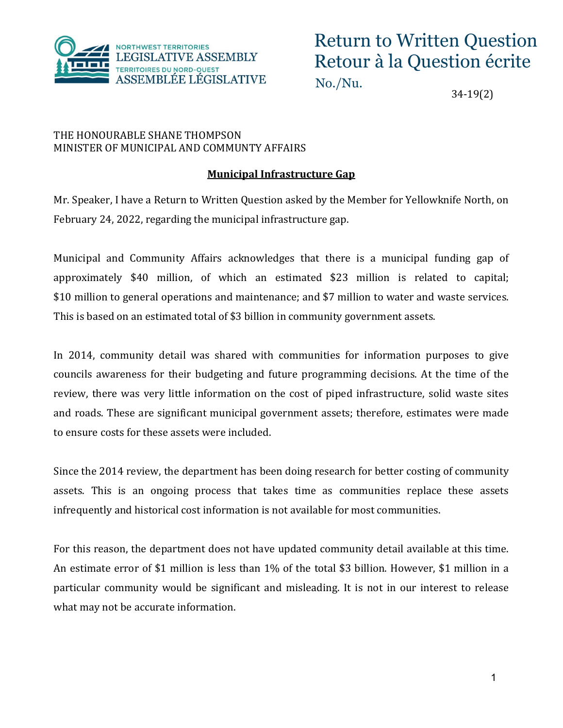

## Return to Written Question Retour à la Question écrite

No./Nu.

34-19(2)

## THE HONOURABLE SHANE THOMPSON MINISTER OF MUNICIPAL AND COMMUNTY AFFAIRS

## **Municipal Infrastructure Gap**

Mr. Speaker, I have a Return to Written Question asked by the Member for Yellowknife North, on February 24, 2022, regarding the municipal infrastructure gap.

Municipal and Community Affairs acknowledges that there is a municipal funding gap of approximately \$40 million, of which an estimated \$23 million is related to capital; \$10 million to general operations and maintenance; and \$7 million to water and waste services. This is based on an estimated total of \$3 billion in community government assets.

In 2014, community detail was shared with communities for information purposes to give councils awareness for their budgeting and future programming decisions. At the time of the review, there was very little information on the cost of piped infrastructure, solid waste sites and roads. These are significant municipal government assets; therefore, estimates were made to ensure costs for these assets were included.

Since the 2014 review, the department has been doing research for better costing of community assets. This is an ongoing process that takes time as communities replace these assets infrequently and historical cost information is not available for most communities.

For this reason, the department does not have updated community detail available at this time. An estimate error of \$1 million is less than 1% of the total \$3 billion. However, \$1 million in a particular community would be significant and misleading. It is not in our interest to release what may not be accurate information.